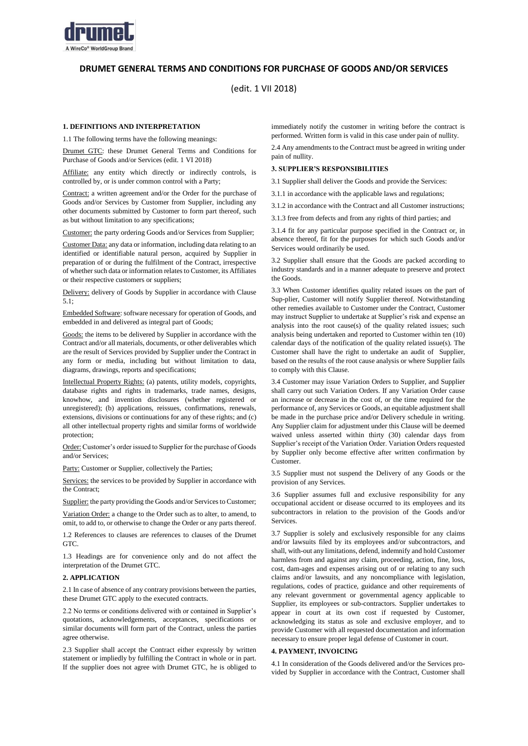

# **DRUMET GENERAL TERMS AND CONDITIONS FOR PURCHASE OF GOODS AND/OR SERVICES**

(edit. 1 VII 2018)

# **1. DEFINITIONS AND INTERPRETATION**

1.1 The following terms have the following meanings:

Drumet GTC: these Drumet General Terms and Conditions for Purchase of Goods and/or Services (edit. 1 VI 2018)

Affiliate: any entity which directly or indirectly controls, is controlled by, or is under common control with a Party;

Contract: a written agreement and/or the Order for the purchase of Goods and/or Services by Customer from Supplier, including any other documents submitted by Customer to form part thereof, such as but without limitation to any specifications;

Customer: the party ordering Goods and/or Services from Supplier;

Customer Data: any data or information, including data relating to an identified or identifiable natural person, acquired by Supplier in preparation of or during the fulfilment of the Contract, irrespective of whether such data or information relates to Customer, its Affiliates or their respective customers or suppliers;

Delivery: delivery of Goods by Supplier in accordance with Clause 5.1;

Embedded Software: software necessary for operation of Goods, and embedded in and delivered as integral part of Goods;

Goods: the items to be delivered by Supplier in accordance with the Contract and/or all materials, documents, or other deliverables which are the result of Services provided by Supplier under the Contract in any form or media, including but without limitation to data, diagrams, drawings, reports and specifications;

Intellectual Property Rights: (a) patents, utility models, copyrights, database rights and rights in trademarks, trade names, designs, knowhow, and invention disclosures (whether registered or unregistered); (b) applications, reissues, confirmations, renewals, extensions, divisions or continuations for any of these rights; and (c) all other intellectual property rights and similar forms of worldwide protection;

Order: Customer's order issued to Supplier for the purchase of Goods and/or Services;

Party: Customer or Supplier, collectively the Parties;

Services: the services to be provided by Supplier in accordance with the Contract;

Supplier: the party providing the Goods and/or Services to Customer;

Variation Order: a change to the Order such as to alter, to amend, to omit, to add to, or otherwise to change the Order or any parts thereof.

1.2 References to clauses are references to clauses of the Drumet GTC.

1.3 Headings are for convenience only and do not affect the interpretation of the Drumet GTC.

### **2. APPLICATION**

2.1 In case of absence of any contrary provisions between the parties, these Drumet GTC apply to the executed contracts.

2.2 No terms or conditions delivered with or contained in Supplier's quotations, acknowledgements, acceptances, specifications or similar documents will form part of the Contract, unless the parties agree otherwise.

2.3 Supplier shall accept the Contract either expressly by written statement or impliedly by fulfilling the Contract in whole or in part. If the supplier does not agree with Drumet GTC, he is obliged to immediately notify the customer in writing before the contract is performed. Written form is valid in this case under pain of nullity.

2.4 Any amendments to the Contract must be agreed in writing under pain of nullity.

# **3. SUPPLIER'S RESPONSIBILITIES**

3.1 Supplier shall deliver the Goods and provide the Services:

3.1.1 in accordance with the applicable laws and regulations;

3.1.2 in accordance with the Contract and all Customer instructions;

3.1.3 free from defects and from any rights of third parties; and

3.1.4 fit for any particular purpose specified in the Contract or, in absence thereof, fit for the purposes for which such Goods and/or Services would ordinarily be used.

3.2 Supplier shall ensure that the Goods are packed according to industry standards and in a manner adequate to preserve and protect the Goods.

3.3 When Customer identifies quality related issues on the part of Sup-plier, Customer will notify Supplier thereof. Notwithstanding other remedies available to Customer under the Contract, Customer may instruct Supplier to undertake at Supplier's risk and expense an analysis into the root cause(s) of the quality related issues; such analysis being undertaken and reported to Customer within ten (10) calendar days of the notification of the quality related issue(s). The Customer shall have the right to undertake an audit of Supplier, based on the results of the root cause analysis or where Supplier fails to comply with this Clause.

3.4 Customer may issue Variation Orders to Supplier, and Supplier shall carry out such Variation Orders. If any Variation Order cause an increase or decrease in the cost of, or the time required for the performance of, any Services or Goods, an equitable adjustment shall be made in the purchase price and/or Delivery schedule in writing. Any Supplier claim for adjustment under this Clause will be deemed waived unless asserted within thirty (30) calendar days from Supplier's receipt of the Variation Order. Variation Orders requested by Supplier only become effective after written confirmation by Customer.

3.5 Supplier must not suspend the Delivery of any Goods or the provision of any Services.

3.6 Supplier assumes full and exclusive responsibility for any occupational accident or disease occurred to its employees and its subcontractors in relation to the provision of the Goods and/or Services.

3.7 Supplier is solely and exclusively responsible for any claims and/or lawsuits filed by its employees and/or subcontractors, and shall, with-out any limitations, defend, indemnify and hold Customer harmless from and against any claim, proceeding, action, fine, loss, cost, dam-ages and expenses arising out of or relating to any such claims and/or lawsuits, and any noncompliance with legislation, regulations, codes of practice, guidance and other requirements of any relevant government or governmental agency applicable to Supplier, its employees or sub-contractors. Supplier undertakes to appear in court at its own cost if requested by Customer, acknowledging its status as sole and exclusive employer, and to provide Customer with all requested documentation and information necessary to ensure proper legal defense of Customer in court.

#### **4. PAYMENT, INVOICING**

4.1 In consideration of the Goods delivered and/or the Services provided by Supplier in accordance with the Contract, Customer shall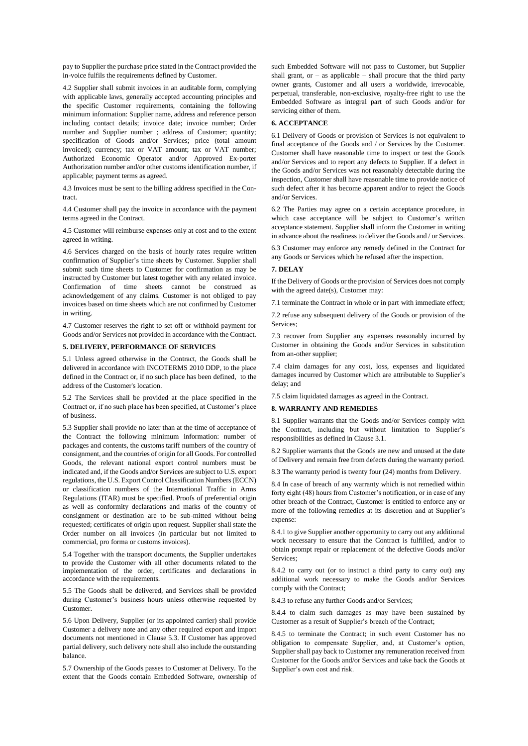pay to Supplier the purchase price stated in the Contract provided the in-voice fulfils the requirements defined by Customer.

4.2 Supplier shall submit invoices in an auditable form, complying with applicable laws, generally accepted accounting principles and the specific Customer requirements, containing the following minimum information: Supplier name, address and reference person including contact details; invoice date; invoice number; Order number and Supplier number ; address of Customer; quantity; specification of Goods and/or Services; price (total amount invoiced); currency; tax or VAT amount; tax or VAT number; Authorized Economic Operator and/or Approved Ex-porter Authorization number and/or other customs identification number, if applicable; payment terms as agreed.

4.3 Invoices must be sent to the billing address specified in the Contract.

4.4 Customer shall pay the invoice in accordance with the payment terms agreed in the Contract.

4.5 Customer will reimburse expenses only at cost and to the extent agreed in writing.

4.6 Services charged on the basis of hourly rates require written confirmation of Supplier's time sheets by Customer. Supplier shall submit such time sheets to Customer for confirmation as may be instructed by Customer but latest together with any related invoice. Confirmation of time sheets cannot be construed as acknowledgement of any claims. Customer is not obliged to pay invoices based on time sheets which are not confirmed by Customer in writing.

4.7 Customer reserves the right to set off or withhold payment for Goods and/or Services not provided in accordance with the Contract.

# **5. DELIVERY, PERFORMANCE OF SERVICES**

5.1 Unless agreed otherwise in the Contract, the Goods shall be delivered in accordance with INCOTERMS 2010 DDP, to the place defined in the Contract or, if no such place has been defined, to the address of the Customer's location.

5.2 The Services shall be provided at the place specified in the Contract or, if no such place has been specified, at Customer's place of business.

5.3 Supplier shall provide no later than at the time of acceptance of the Contract the following minimum information: number of packages and contents, the customs tariff numbers of the country of consignment, and the countries of origin for all Goods. For controlled Goods, the relevant national export control numbers must be indicated and, if the Goods and/or Services are subject to U.S. export regulations, the U.S. Export Control Classification Numbers (ECCN) or classification numbers of the International Traffic in Arms Regulations (ITAR) must be specified. Proofs of preferential origin as well as conformity declarations and marks of the country of consignment or destination are to be sub-mitted without being requested; certificates of origin upon request. Supplier shall state the Order number on all invoices (in particular but not limited to commercial, pro forma or customs invoices).

5.4 Together with the transport documents, the Supplier undertakes to provide the Customer with all other documents related to the implementation of the order, certificates and declarations in accordance with the requirements.

5.5 The Goods shall be delivered, and Services shall be provided during Customer's business hours unless otherwise requested by Customer.

5.6 Upon Delivery, Supplier (or its appointed carrier) shall provide Customer a delivery note and any other required export and import documents not mentioned in Clause 5.3. If Customer has approved partial delivery, such delivery note shall also include the outstanding balance.

5.7 Ownership of the Goods passes to Customer at Delivery. To the extent that the Goods contain Embedded Software, ownership of such Embedded Software will not pass to Customer, but Supplier shall grant, or – as applicable – shall procure that the third party owner grants, Customer and all users a worldwide, irrevocable, perpetual, transferable, non-exclusive, royalty-free right to use the Embedded Software as integral part of such Goods and/or for servicing either of them.

### **6. ACCEPTANCE**

6.1 Delivery of Goods or provision of Services is not equivalent to final acceptance of the Goods and / or Services by the Customer. Customer shall have reasonable time to inspect or test the Goods and/or Services and to report any defects to Supplier. If a defect in the Goods and/or Services was not reasonably detectable during the inspection, Customer shall have reasonable time to provide notice of such defect after it has become apparent and/or to reject the Goods and/or Services.

6.2 The Parties may agree on a certain acceptance procedure, in which case acceptance will be subject to Customer's written acceptance statement. Supplier shall inform the Customer in writing in advance about the readiness to deliver the Goods and / or Services.

6.3 Customer may enforce any remedy defined in the Contract for any Goods or Services which he refused after the inspection.

## **7. DELAY**

If the Delivery of Goods or the provision of Services does not comply with the agreed date(s), Customer may:

7.1 terminate the Contract in whole or in part with immediate effect;

7.2 refuse any subsequent delivery of the Goods or provision of the Services;

7.3 recover from Supplier any expenses reasonably incurred by Customer in obtaining the Goods and/or Services in substitution from an-other supplier;

7.4 claim damages for any cost, loss, expenses and liquidated damages incurred by Customer which are attributable to Supplier's delay; and

7.5 claim liquidated damages as agreed in the Contract.

#### **8. WARRANTY AND REMEDIES**

8.1 Supplier warrants that the Goods and/or Services comply with the Contract, including but without limitation to Supplier's responsibilities as defined in Clause 3.1.

8.2 Supplier warrants that the Goods are new and unused at the date of Delivery and remain free from defects during the warranty period.

8.3 The warranty period is twenty four (24) months from Delivery.

8.4 In case of breach of any warranty which is not remedied within forty eight (48) hours from Customer's notification, or in case of any other breach of the Contract, Customer is entitled to enforce any or more of the following remedies at its discretion and at Supplier's expense:

8.4.1 to give Supplier another opportunity to carry out any additional work necessary to ensure that the Contract is fulfilled, and/or to obtain prompt repair or replacement of the defective Goods and/or Services;

8.4.2 to carry out (or to instruct a third party to carry out) any additional work necessary to make the Goods and/or Services comply with the Contract;

8.4.3 to refuse any further Goods and/or Services;

8.4.4 to claim such damages as may have been sustained by Customer as a result of Supplier's breach of the Contract;

8.4.5 to terminate the Contract; in such event Customer has no obligation to compensate Supplier, and, at Customer's option, Supplier shall pay back to Customer any remuneration received from Customer for the Goods and/or Services and take back the Goods at Supplier's own cost and risk.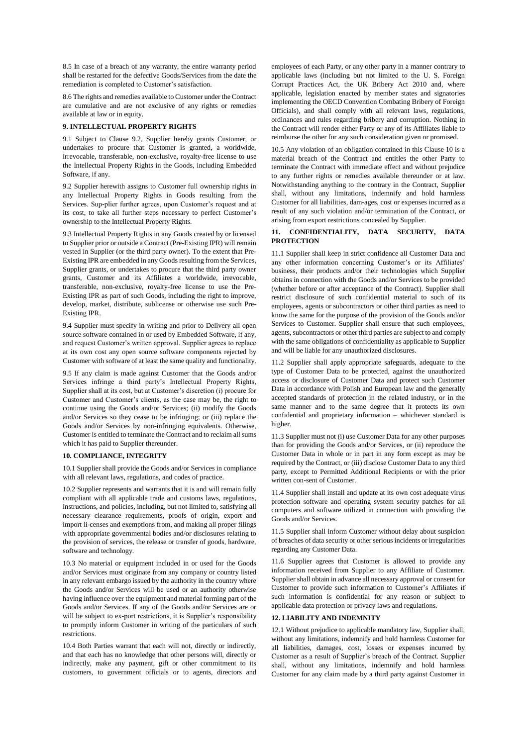8.5 In case of a breach of any warranty, the entire warranty period shall be restarted for the defective Goods/Services from the date the remediation is completed to Customer's satisfaction.

8.6 The rights and remedies available to Customer under the Contract are cumulative and are not exclusive of any rights or remedies available at law or in equity.

# **9. INTELLECTUAL PROPERTY RIGHTS**

9.1 Subject to Clause 9.2, Supplier hereby grants Customer, or undertakes to procure that Customer is granted, a worldwide, irrevocable, transferable, non-exclusive, royalty-free license to use the Intellectual Property Rights in the Goods, including Embedded Software, if any.

9.2 Supplier herewith assigns to Customer full ownership rights in any Intellectual Property Rights in Goods resulting from the Services. Sup-plier further agrees, upon Customer's request and at its cost, to take all further steps necessary to perfect Customer's ownership to the Intellectual Property Rights.

9.3 Intellectual Property Rights in any Goods created by or licensed to Supplier prior or outside a Contract (Pre-Existing IPR) will remain vested in Supplier (or the third party owner). To the extent that Pre-Existing IPR are embedded in any Goods resulting from the Services, Supplier grants, or undertakes to procure that the third party owner grants, Customer and its Affiliates a worldwide, irrevocable, transferable, non-exclusive, royalty-free license to use the Pre-Existing IPR as part of such Goods, including the right to improve, develop, market, distribute, sublicense or otherwise use such Pre-Existing IPR.

9.4 Supplier must specify in writing and prior to Delivery all open source software contained in or used by Embedded Software, if any, and request Customer's written approval. Supplier agrees to replace at its own cost any open source software components rejected by Customer with software of at least the same quality and functionality.

9.5 If any claim is made against Customer that the Goods and/or Services infringe a third party's Intellectual Property Rights, Supplier shall at its cost, but at Customer's discretion (i) procure for Customer and Customer's clients, as the case may be, the right to continue using the Goods and/or Services; (ii) modify the Goods and/or Services so they cease to be infringing; or (iii) replace the Goods and/or Services by non-infringing equivalents. Otherwise, Customer is entitled to terminate the Contract and to reclaim all sums which it has paid to Supplier thereunder.

#### **10. COMPLIANCE, INTEGRITY**

10.1 Supplier shall provide the Goods and/or Services in compliance with all relevant laws, regulations, and codes of practice.

10.2 Supplier represents and warrants that it is and will remain fully compliant with all applicable trade and customs laws, regulations, instructions, and policies, including, but not limited to, satisfying all necessary clearance requirements, proofs of origin, export and import li-censes and exemptions from, and making all proper filings with appropriate governmental bodies and/or disclosures relating to the provision of services, the release or transfer of goods, hardware, software and technology.

10.3 No material or equipment included in or used for the Goods and/or Services must originate from any company or country listed in any relevant embargo issued by the authority in the country where the Goods and/or Services will be used or an authority otherwise having influence over the equipment and material forming part of the Goods and/or Services. If any of the Goods and/or Services are or will be subject to ex-port restrictions, it is Supplier's responsibility to promptly inform Customer in writing of the particulars of such restrictions.

10.4 Both Parties warrant that each will not, directly or indirectly, and that each has no knowledge that other persons will, directly or indirectly, make any payment, gift or other commitment to its customers, to government officials or to agents, directors and employees of each Party, or any other party in a manner contrary to applicable laws (including but not limited to the U. S. Foreign Corrupt Practices Act, the UK Bribery Act 2010 and, where applicable, legislation enacted by member states and signatories implementing the OECD Convention Combating Bribery of Foreign Officials), and shall comply with all relevant laws, regulations, ordinances and rules regarding bribery and corruption. Nothing in the Contract will render either Party or any of its Affiliates liable to reimburse the other for any such consideration given or promised.

10.5 Any violation of an obligation contained in this Clause 10 is a material breach of the Contract and entitles the other Party to terminate the Contract with immediate effect and without prejudice to any further rights or remedies available thereunder or at law. Notwithstanding anything to the contrary in the Contract, Supplier shall, without any limitations, indemnify and hold harmless Customer for all liabilities, dam-ages, cost or expenses incurred as a result of any such violation and/or termination of the Contract, or arising from export restrictions concealed by Supplier.

### **11. CONFIDENTIALITY, DATA SECURITY, DATA PROTECTION**

11.1 Supplier shall keep in strict confidence all Customer Data and any other information concerning Customer's or its Affiliates' business, their products and/or their technologies which Supplier obtains in connection with the Goods and/or Services to be provided (whether before or after acceptance of the Contract). Supplier shall restrict disclosure of such confidential material to such of its employees, agents or subcontractors or other third parties as need to know the same for the purpose of the provision of the Goods and/or Services to Customer. Supplier shall ensure that such employees, agents, subcontractors or other third parties are subject to and comply with the same obligations of confidentiality as applicable to Supplier and will be liable for any unauthorized disclosures.

11.2 Supplier shall apply appropriate safeguards, adequate to the type of Customer Data to be protected, against the unauthorized access or disclosure of Customer Data and protect such Customer Data in accordance with Polish and European law and the generally accepted standards of protection in the related industry, or in the same manner and to the same degree that it protects its own confidential and proprietary information – whichever standard is higher.

11.3 Supplier must not (i) use Customer Data for any other purposes than for providing the Goods and/or Services, or (ii) reproduce the Customer Data in whole or in part in any form except as may be required by the Contract, or (iii) disclose Customer Data to any third party, except to Permitted Additional Recipients or with the prior written con-sent of Customer.

11.4 Supplier shall install and update at its own cost adequate virus protection software and operating system security patches for all computers and software utilized in connection with providing the Goods and/or Services.

11.5 Supplier shall inform Customer without delay about suspicion of breaches of data security or other serious incidents or irregularities regarding any Customer Data.

11.6 Supplier agrees that Customer is allowed to provide any information received from Supplier to any Affiliate of Customer. Supplier shall obtain in advance all necessary approval or consent for Customer to provide such information to Customer's Affiliates if such information is confidential for any reason or subject to applicable data protection or privacy laws and regulations.

#### **12. LIABILITY AND INDEMNITY**

12.1 Without prejudice to applicable mandatory law, Supplier shall, without any limitations, indemnify and hold harmless Customer for all liabilities, damages, cost, losses or expenses incurred by Customer as a result of Supplier's breach of the Contract. Supplier shall, without any limitations, indemnify and hold harmless Customer for any claim made by a third party against Customer in